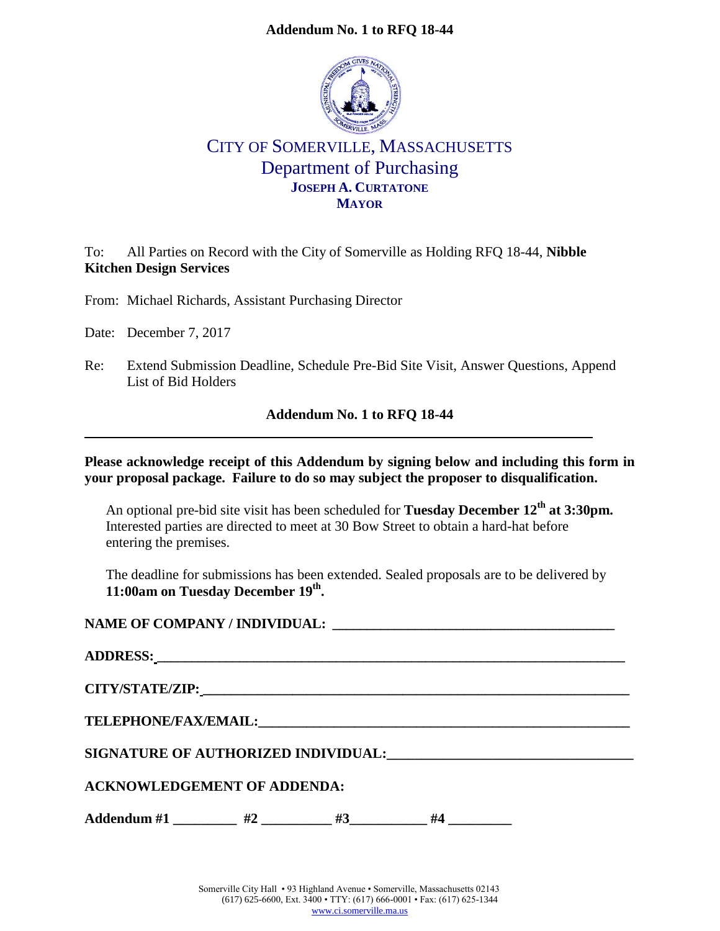### **Addendum No. 1 to RFQ 18-44**



# CITY OF SOMERVILLE, MASSACHUSETTS Department of Purchasing **JOSEPH A. CURTATONE MAYOR**

To: All Parties on Record with the City of Somerville as Holding RFQ 18-44, **Nibble Kitchen Design Services**

From: Michael Richards, Assistant Purchasing Director

Date: December 7, 2017

Re: Extend Submission Deadline, Schedule Pre-Bid Site Visit, Answer Questions, Append List of Bid Holders

#### **Addendum No. 1 to RFQ 18-44**

**Please acknowledge receipt of this Addendum by signing below and including this form in your proposal package. Failure to do so may subject the proposer to disqualification.**

An optional pre-bid site visit has been scheduled for **Tuesday December 12th at 3:30pm.** Interested parties are directed to meet at 30 Bow Street to obtain a hard-hat before entering the premises.

The deadline for submissions has been extended. Sealed proposals are to be delivered by **11:00am on Tuesday December 19th .** 

**NAME OF COMPANY / INDIVIDUAL: \_\_\_\_\_\_\_\_\_\_\_\_\_\_\_\_\_\_\_\_\_\_\_\_\_\_\_\_\_\_\_\_\_\_\_\_\_\_\_\_\_**

| <b>TELEPHONE/FAX/EMAIL:</b> THE CONSTRUCTION OF THE CONSTRUCTION OF THE CONSTRUCTION OF THE CONSTRUCTION OF THE CONSTRUCTION OF THE CONSTRUCTION OF THE CONSTRUCTION OF THE CONSTRUCTION OF THE CONSTRUCTION OF THE CONSTRUCTION OF |    |    |    |  |  |  |  |  |
|-------------------------------------------------------------------------------------------------------------------------------------------------------------------------------------------------------------------------------------|----|----|----|--|--|--|--|--|
| SIGNATURE OF AUTHORIZED INDIVIDUAL: The contract of the contract of the contract of the contract of the contract of the contract of the contract of the contract of the contract of the contract of the contract of the contra      |    |    |    |  |  |  |  |  |
| <b>ACKNOWLEDGEMENT OF ADDENDA:</b>                                                                                                                                                                                                  |    |    |    |  |  |  |  |  |
| $\bf{Addendum}$ #1                                                                                                                                                                                                                  | #2 | #3 | #4 |  |  |  |  |  |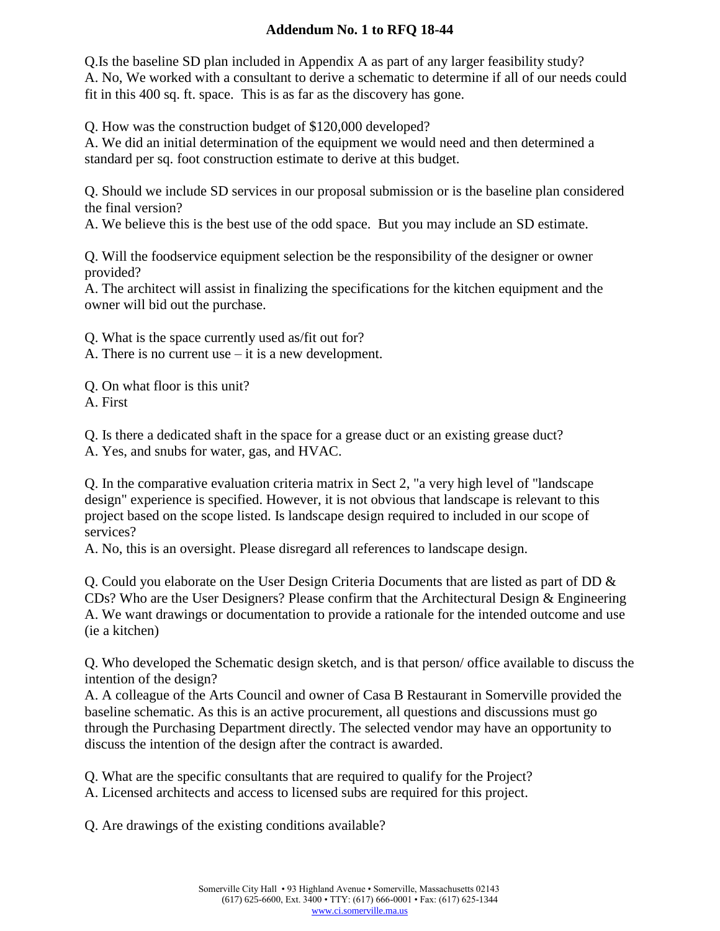## **Addendum No. 1 to RFQ 18-44**

Q.Is the baseline SD plan included in Appendix A as part of any larger feasibility study? A. No, We worked with a consultant to derive a schematic to determine if all of our needs could fit in this 400 sq. ft. space. This is as far as the discovery has gone.

Q. How was the construction budget of \$120,000 developed?

A. We did an initial determination of the equipment we would need and then determined a standard per sq. foot construction estimate to derive at this budget.

Q. Should we include SD services in our proposal submission or is the baseline plan considered the final version?

A. We believe this is the best use of the odd space. But you may include an SD estimate.

Q. Will the foodservice equipment selection be the responsibility of the designer or owner provided?

A. The architect will assist in finalizing the specifications for the kitchen equipment and the owner will bid out the purchase.

Q. What is the space currently used as/fit out for?

A. There is no current use – it is a new development.

Q. On what floor is this unit?

A. First

Q. Is there a dedicated shaft in the space for a grease duct or an existing grease duct?

A. Yes, and snubs for water, gas, and HVAC.

Q. In the comparative evaluation criteria matrix in Sect 2, "a very high level of "landscape design" experience is specified. However, it is not obvious that landscape is relevant to this project based on the scope listed. Is landscape design required to included in our scope of services?

A. No, this is an oversight. Please disregard all references to landscape design.

Q. Could you elaborate on the User Design Criteria Documents that are listed as part of DD & CDs? Who are the User Designers? Please confirm that the Architectural Design & Engineering A. We want drawings or documentation to provide a rationale for the intended outcome and use (ie a kitchen)

Q. Who developed the Schematic design sketch, and is that person/ office available to discuss the intention of the design?

A. A colleague of the Arts Council and owner of Casa B Restaurant in Somerville provided the baseline schematic. As this is an active procurement, all questions and discussions must go through the Purchasing Department directly. The selected vendor may have an opportunity to discuss the intention of the design after the contract is awarded.

Q. What are the specific consultants that are required to qualify for the Project?

A. Licensed architects and access to licensed subs are required for this project.

Q. Are drawings of the existing conditions available?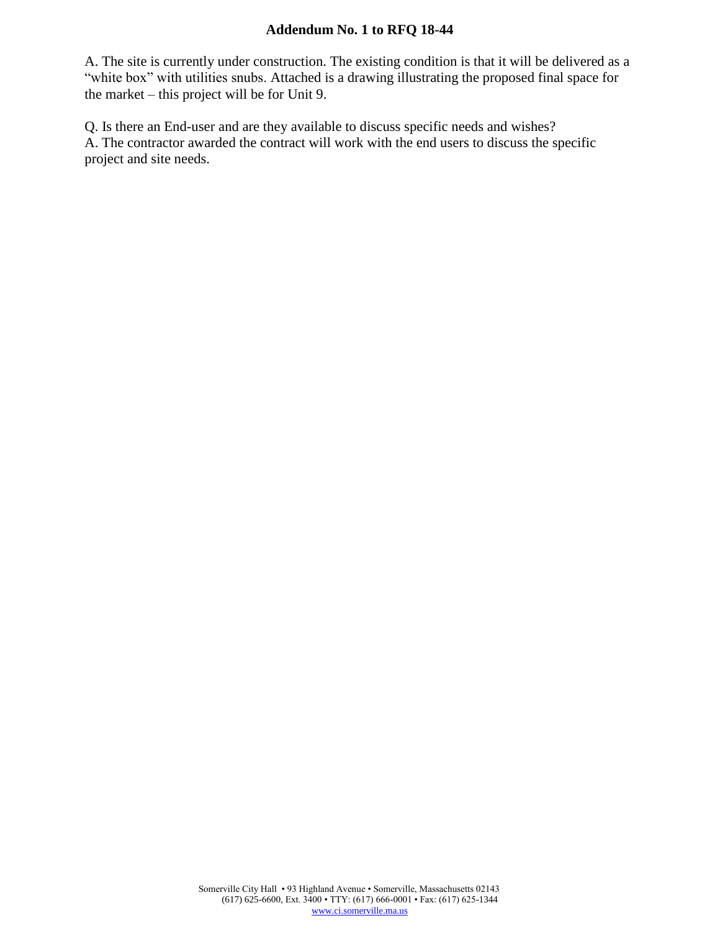## **Addendum No. 1 to RFQ 18-44**

A. The site is currently under construction. The existing condition is that it will be delivered as a "white box" with utilities snubs. Attached is a drawing illustrating the proposed final space for the market – this project will be for Unit 9.

Q. Is there an End-user and are they available to discuss specific needs and wishes? A. The contractor awarded the contract will work with the end users to discuss the specific project and site needs.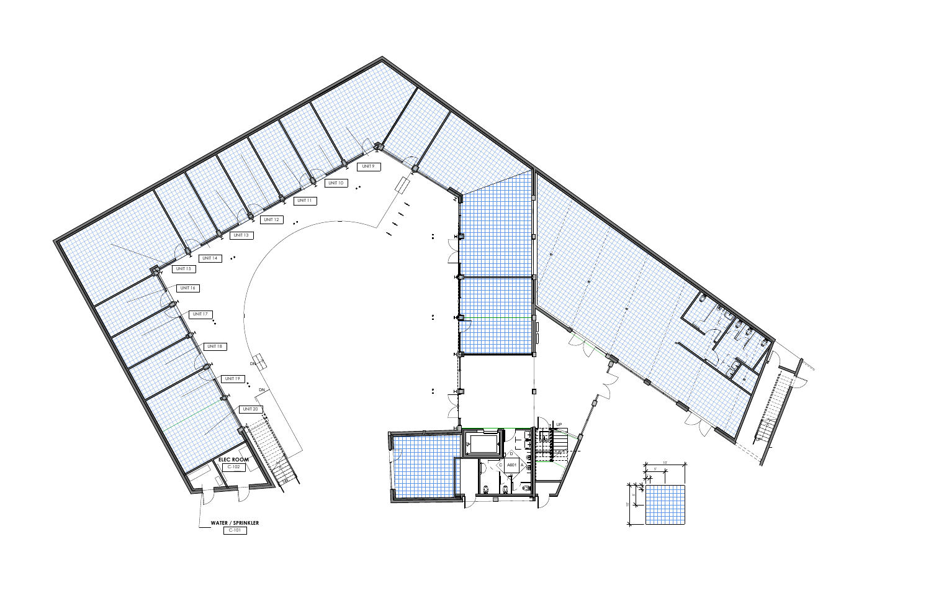